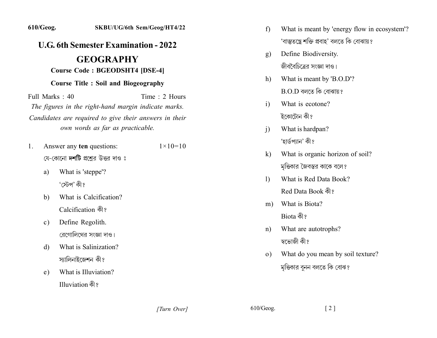## *<u>U.G.* 6th Semester Examination - 2022</u>

## **.2Y.YYY2Y**

## **Course Code: BGEODSHT4 [DSE-4]**

## **Course Title : Soil and Biogeography**

 $Full Marks: 40$  Time 2 Hours The figures in the right-hand margin indicate marks. Candidates are required to give their answers in their *own words as far as practicable.* 

- 1. Answer any **ten** questions:  $1 \times 10 = 10$ য়ে-কোনো **দশটি** প্রশ্রের উত্তর দাও ঃ
	- a) What is 'steppe'? 'স্টেপ' কী ঃ
	- b) What is Calcification? Calcification को?
	- c) Define Regolith. রেগোলিথের সংজ্ঞা দাও।
	- d) What is Salinization? স্যালিনাইজেশন কী?
	- e) What is Illuviation? Illuviation কী?
- f) What is meant by 'energy flow in ecosystem'? 'বাস্তুতন্ত্রে শক্তি প্রবাহ' বলতে কি বোঝায়?
- g) Define Biodiversity. জীববৈচিত্রের সংজ্ঞা দাও।
- h) What is meant by 'B.O.D'?  $B.O.D$  বলতে কি বোঝায়?
- i) What is ecotone? ইকোটোন কী?
- i) What is hardpan? 'হাৰ্ডপ্যান' কী?
- k) What is organic horizon of soil? মৃত্তিকার জৈবস্তর কাকে বলে?
- 1) What is Red Data Book? Red Data Book को?
- m) What is Biota? Biota কী?
- n) What are autotrophs? স্বভোজী কী?
- (a) What do you mean by soil texture? মৃত্তিকার বুনন বলতে কি বোঝ?